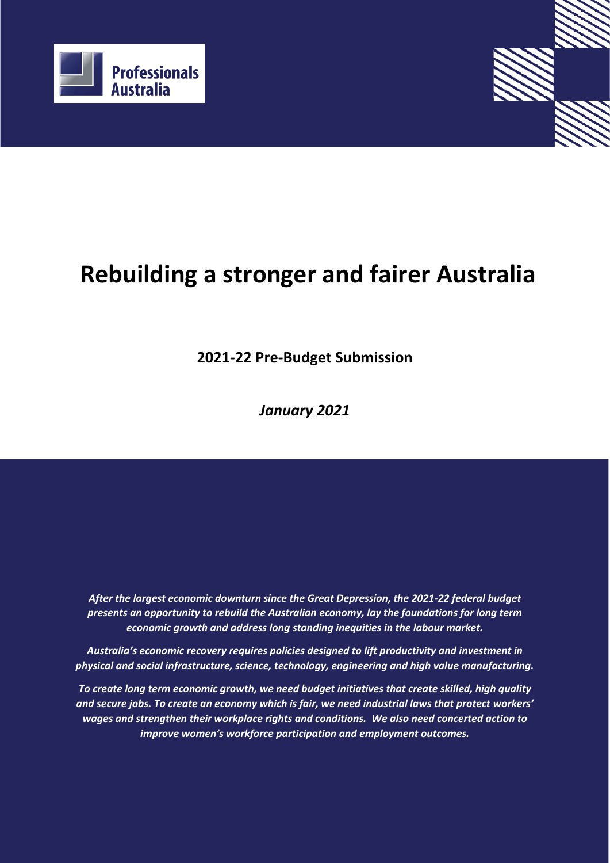



**2021-22 Pre-Budget Submission**

*January 2021*

*After the largest economic downturn since the Great Depression, the 2021-22 federal budget presents an opportunity to rebuild the Australian economy, lay the foundations for long term economic growth and address long standing inequities in the labour market.* 

*Australia's economic recovery requires policies designed to lift productivity and investment in physical and social infrastructure, science, technology, engineering and high value manufacturing.* 

*To create long term economic growth, we need budget initiatives that create skilled, high quality and secure jobs. To create an economy which is fair, we need industrial laws that protect workers' wages and strengthen their workplace rights and conditions. We also need concerted action to improve women's workforce participation and employment outcomes.*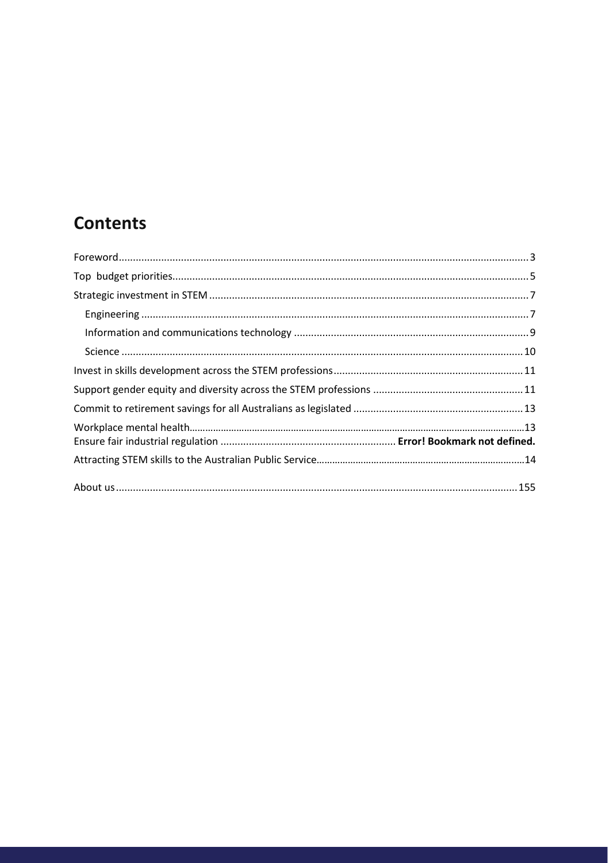# **Contents**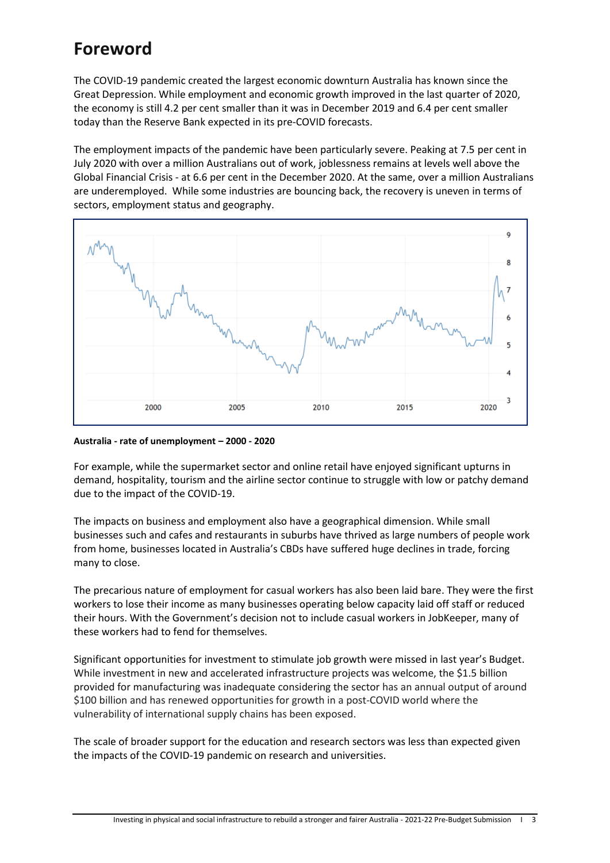## <span id="page-2-0"></span>**Foreword**

The COVID-19 pandemic created the largest economic downturn Australia has known since the Great Depression. While employment and economic growth improved in the last quarter of 2020, the economy is still 4.2 per cent smaller than it was in December 2019 and 6.4 per cent smaller today than the Reserve Bank expected in its pre-COVID forecasts.

The employment impacts of the pandemic have been particularly severe. Peaking at 7.5 per cent in July 2020 with over a million Australians out of work, joblessness remains at levels well above the Global Financial Crisis - at 6.6 per cent in the December 2020. At the same, over a million Australians are underemployed. While some industries are bouncing back, the recovery is uneven in terms of sectors, employment status and geography.



**Australia - rate of unemployment – 2000 - 2020** 

For example, while the supermarket sector and online retail have enjoyed significant upturns in demand, hospitality, tourism and the airline sector continue to struggle with low or patchy demand due to the impact of the COVID-19.

The impacts on business and employment also have a geographical dimension. While small businesses such and cafes and restaurants in suburbs have thrived as large numbers of people work from home, businesses located in Australia's CBDs have suffered huge declines in trade, forcing many to close.

The precarious nature of employment for casual workers has also been laid bare. They were the first workers to lose their income as many businesses operating below capacity laid off staff or reduced their hours. With the Government's decision not to include casual workers in JobKeeper, many of these workers had to fend for themselves.

Significant opportunities for investment to stimulate job growth were missed in last year's Budget. While investment in new and accelerated infrastructure projects was welcome, the \$1.5 billion provided for manufacturing was inadequate considering the sector has an annual output of around \$100 billion and has renewed opportunities for growth in a post-COVID world where the vulnerability of international supply chains has been exposed.

The scale of broader support for the education and research sectors was less than expected given the impacts of the COVID-19 pandemic on research and universities.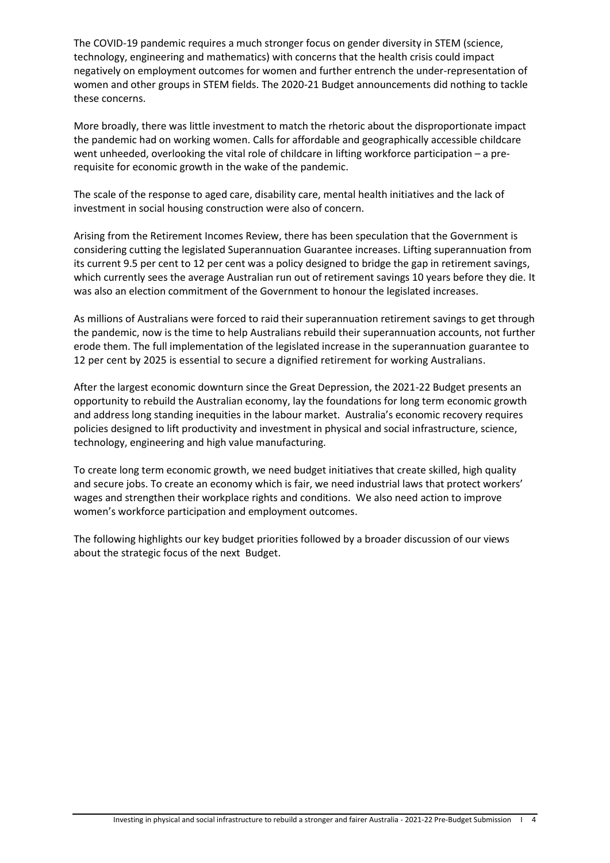The COVID-19 pandemic requires a much stronger focus on gender diversity in STEM (science, technology, engineering and mathematics) with concerns that the health crisis could impact negatively on employment outcomes for women and further entrench the under-representation of women and other groups in STEM fields. The 2020-21 Budget announcements did nothing to tackle these concerns.

More broadly, there was little investment to match the rhetoric about the disproportionate impact the pandemic had on working women. Calls for affordable and geographically accessible childcare went unheeded, overlooking the vital role of childcare in lifting workforce participation – a prerequisite for economic growth in the wake of the pandemic.

The scale of the response to aged care, disability care, mental health initiatives and the lack of investment in social housing construction were also of concern.

Arising from the Retirement Incomes Review, there has been speculation that the Government is considering cutting the legislated Superannuation Guarantee increases. Lifting superannuation from its current 9.5 per cent to 12 per cent was a policy designed to bridge the gap in retirement savings, which currently sees the average Australian run out of retirement savings 10 years before they die. It was also an election commitment of the Government to honour the legislated increases.

As millions of Australians were forced to raid their superannuation retirement savings to get through the pandemic, now is the time to help Australians rebuild their superannuation accounts, not further erode them. The full implementation of the legislated increase in the superannuation guarantee to 12 per cent by 2025 is essential to secure a dignified retirement for working Australians.

After the largest economic downturn since the Great Depression, the 2021-22 Budget presents an opportunity to rebuild the Australian economy, lay the foundations for long term economic growth and address long standing inequities in the labour market. Australia's economic recovery requires policies designed to lift productivity and investment in physical and social infrastructure, science, technology, engineering and high value manufacturing.

To create long term economic growth, we need budget initiatives that create skilled, high quality and secure jobs. To create an economy which is fair, we need industrial laws that protect workers' wages and strengthen their workplace rights and conditions. We also need action to improve women's workforce participation and employment outcomes.

The following highlights our key budget priorities followed by a broader discussion of our views about the strategic focus of the next Budget.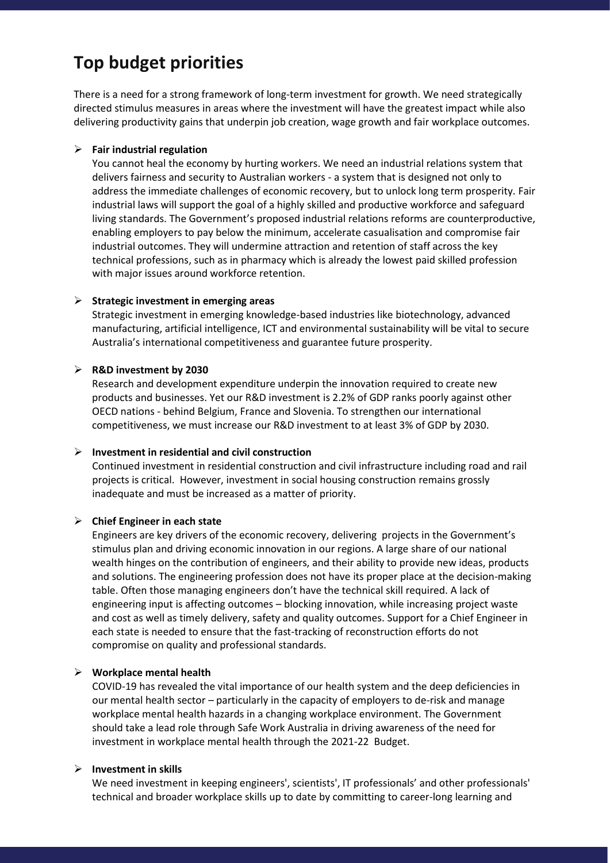## <span id="page-4-0"></span>**Top budget priorities**

There is a need for a strong framework of long-term investment for growth. We need strategically directed stimulus measures in areas where the investment will have the greatest impact while also delivering productivity gains that underpin job creation, wage growth and fair workplace outcomes.

#### ➢ **Fair industrial regulation**

You cannot heal the economy by hurting workers. We need an industrial relations system that delivers fairness and security to Australian workers - a system that is designed not only to address the immediate challenges of economic recovery, but to unlock long term prosperity. Fair industrial laws will support the goal of a highly skilled and productive workforce and safeguard living standards. The Government's proposed industrial relations reforms are counterproductive, enabling employers to pay below the minimum, accelerate casualisation and compromise fair industrial outcomes. They will undermine attraction and retention of staff across the key technical professions, such as in pharmacy which is already the lowest paid skilled profession with major issues around workforce retention.

#### ➢ **Strategic investment in emerging areas**

Strategic investment in emerging knowledge-based industries like biotechnology, advanced manufacturing, artificial intelligence, ICT and environmental sustainability will be vital to secure Australia's international competitiveness and guarantee future prosperity.

#### ➢ **R&D investment by 2030**

Research and development expenditure underpin the innovation required to create new products and businesses. Yet our R&D investment is 2.2% of GDP ranks poorly against other OECD nations - behind Belgium, France and Slovenia. To strengthen our international competitiveness, we must increase our R&D investment to at least 3% of GDP by 2030.

#### ➢ **Investment in residential and civil construction**

Continued investment in residential construction and civil infrastructure including road and rail projects is critical. However, investment in social housing construction remains grossly inadequate and must be increased as a matter of priority.

### ➢ **Chief Engineer in each state**

Engineers are key drivers of the economic recovery, delivering projects in the Government's stimulus plan and driving economic innovation in our regions. A large share of our national wealth hinges on the contribution of engineers, and their ability to provide new ideas, products and solutions. The engineering profession does not have its proper place at the decision-making table. Often those managing engineers don't have the technical skill required. A lack of engineering input is affecting outcomes – blocking innovation, while increasing project waste and cost as well as timely delivery, safety and quality outcomes. Support for a Chief Engineer in each state is needed to ensure that the fast-tracking of reconstruction efforts do not compromise on quality and professional standards.

### ➢ **Workplace mental health**

COVID-19 has revealed the vital importance of our health system and the deep deficiencies in our mental health sector – particularly in the capacity of employers to de-risk and manage workplace mental health hazards in a changing workplace environment. The Government should take a lead role through Safe Work Australia in driving awareness of the need for investment in workplace mental health through the 2021-22 Budget.

### ➢ **Investment in skills**

We need investment in keeping engineers', scientists', IT professionals' and other professionals' technical and broader workplace skills up to date by committing to career-long learning and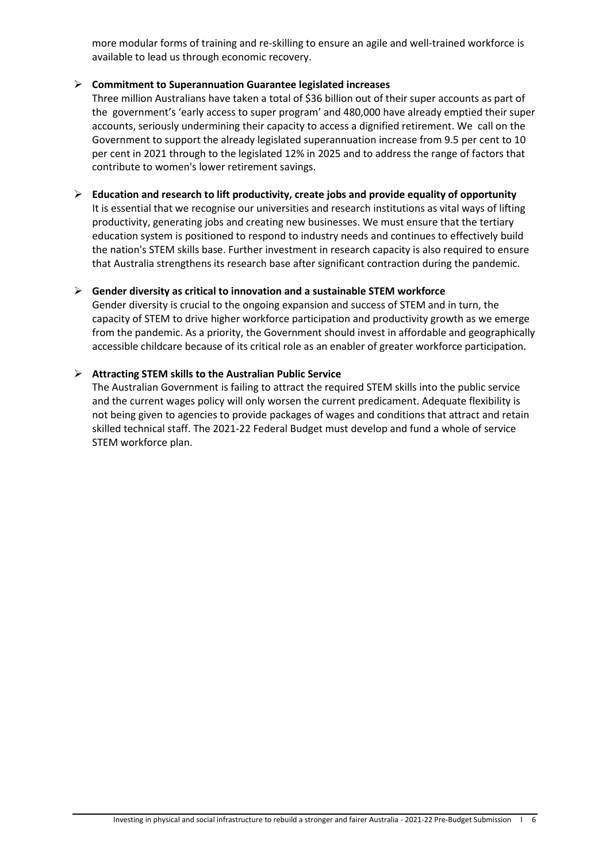more modular forms of training and re-skilling to ensure an agile and well-trained workforce is available to lead us through economic recovery.

### ➢ **Commitment to Superannuation Guarantee legislated increases**

Three million Australians have taken a total of \$36 billion out of their super accounts as part of the government's 'early access to super program' and 480,000 have already emptied their super accounts, seriously undermining their capacity to access a dignified retirement. We call on the Government to support the already legislated superannuation increase from 9.5 per cent to 10 per cent in 2021 through to the legislated 12% in 2025 and to address the range of factors that contribute to women's lower retirement savings.

➢ **Education and research to lift productivity, create jobs and provide equality of opportunity** It is essential that we recognise our universities and research institutions as vital ways of lifting productivity, generating jobs and creating new businesses. We must ensure that the tertiary education system is positioned to respond to industry needs and continues to effectively build the nation's STEM skills base. Further investment in research capacity is also required to ensure that Australia strengthens its research base after significant contraction during the pandemic.

## ➢ **Gender diversity as critical to innovation and a sustainable STEM workforce**

Gender diversity is crucial to the ongoing expansion and success of STEM and in turn, the capacity of STEM to drive higher workforce participation and productivity growth as we emerge from the pandemic. As a priority, the Government should invest in affordable and geographically accessible childcare because of its critical role as an enabler of greater workforce participation.

## ➢ **Attracting STEM skills to the Australian Public Service**

The Australian Government is failing to attract the required STEM skills into the public service and the current wages policy will only worsen the current predicament. Adequate flexibility is not being given to agencies to provide packages of wages and conditions that attract and retain skilled technical staff. The 2021-22 Federal Budget must develop and fund a whole of service STEM workforce plan.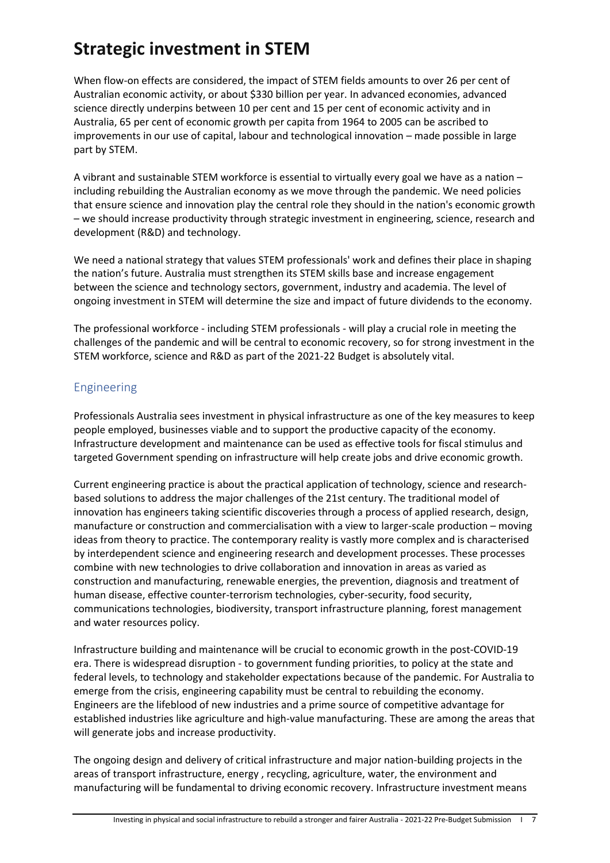# <span id="page-6-0"></span>**Strategic investment in STEM**

When flow-on effects are considered, the impact of STEM fields amounts to over 26 per cent of Australian economic activity, or about \$330 billion per year. In advanced economies, advanced science directly underpins between 10 per cent and 15 per cent of economic activity and in Australia, 65 per cent of economic growth per capita from 1964 to 2005 can be ascribed to improvements in our use of capital, labour and technological innovation – made possible in large part by STEM.

A vibrant and sustainable STEM workforce is essential to virtually every goal we have as a nation – including rebuilding the Australian economy as we move through the pandemic. We need policies that ensure science and innovation play the central role they should in the nation's economic growth – we should increase productivity through strategic investment in engineering, science, research and development (R&D) and technology.

We need a national strategy that values STEM professionals' work and defines their place in shaping the nation's future. Australia must strengthen its STEM skills base and increase engagement between the science and technology sectors, government, industry and academia. The level of ongoing investment in STEM will determine the size and impact of future dividends to the economy.

The professional workforce - including STEM professionals - will play a crucial role in meeting the challenges of the pandemic and will be central to economic recovery, so for strong investment in the STEM workforce, science and R&D as part of the 2021-22 Budget is absolutely vital.

## <span id="page-6-1"></span>Engineering

Professionals Australia sees investment in physical infrastructure as one of the key measures to keep people employed, businesses viable and to support the productive capacity of the economy. Infrastructure development and maintenance can be used as effective tools for fiscal stimulus and targeted Government spending on infrastructure will help create jobs and drive economic growth.

Current engineering practice is about the practical application of technology, science and researchbased solutions to address the major challenges of the 21st century. The traditional model of innovation has engineers taking scientific discoveries through a process of applied research, design, manufacture or construction and commercialisation with a view to larger-scale production – moving ideas from theory to practice. The contemporary reality is vastly more complex and is characterised by interdependent science and engineering research and development processes. These processes combine with new technologies to drive collaboration and innovation in areas as varied as construction and manufacturing, renewable energies, the prevention, diagnosis and treatment of human disease, effective counter-terrorism technologies, cyber-security, food security, communications technologies, biodiversity, transport infrastructure planning, forest management and water resources policy.

Infrastructure building and maintenance will be crucial to economic growth in the post-COVID-19 era. There is widespread disruption - to government funding priorities, to policy at the state and federal levels, to technology and stakeholder expectations because of the pandemic. For Australia to emerge from the crisis, engineering capability must be central to rebuilding the economy. Engineers are the lifeblood of new industries and a prime source of competitive advantage for established industries like agriculture and high-value manufacturing. These are among the areas that will generate jobs and increase productivity.

The ongoing design and delivery of critical infrastructure and major nation-building projects in the areas of transport infrastructure, energy , recycling, agriculture, water, the environment and manufacturing will be fundamental to driving economic recovery. Infrastructure investment means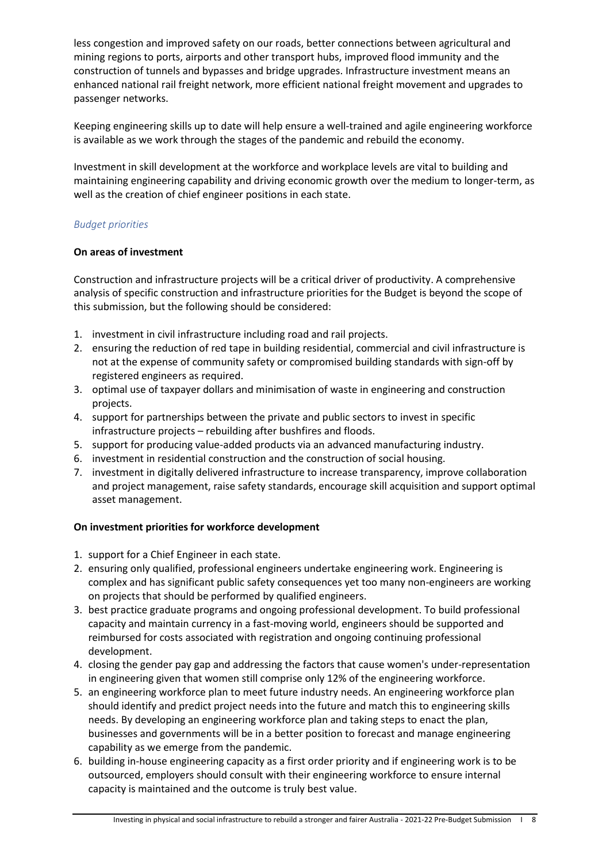less congestion and improved safety on our roads, better connections between agricultural and mining regions to ports, airports and other transport hubs, improved flood immunity and the construction of tunnels and bypasses and bridge upgrades. Infrastructure investment means an enhanced national rail freight network, more efficient national freight movement and upgrades to passenger networks.

Keeping engineering skills up to date will help ensure a well-trained and agile engineering workforce is available as we work through the stages of the pandemic and rebuild the economy.

Investment in skill development at the workforce and workplace levels are vital to building and maintaining engineering capability and driving economic growth over the medium to longer-term, as well as the creation of chief engineer positions in each state.

## *Budget priorities*

## **On areas of investment**

Construction and infrastructure projects will be a critical driver of productivity. A comprehensive analysis of specific construction and infrastructure priorities for the Budget is beyond the scope of this submission, but the following should be considered:

- 1. investment in civil infrastructure including road and rail projects.
- 2. ensuring the reduction of red tape in building residential, commercial and civil infrastructure is not at the expense of community safety or compromised building standards with sign-off by registered engineers as required.
- 3. optimal use of taxpayer dollars and minimisation of waste in engineering and construction projects.
- 4. support for partnerships between the private and public sectors to invest in specific infrastructure projects – rebuilding after bushfires and floods.
- 5. support for producing value-added products via an advanced manufacturing industry.
- 6. investment in residential construction and the construction of social housing.
- 7. investment in digitally delivered infrastructure to increase transparency, improve collaboration and project management, raise safety standards, encourage skill acquisition and support optimal asset management.

### **On investment priorities for workforce development**

- 1. support for a Chief Engineer in each state.
- 2. ensuring only qualified, professional engineers undertake engineering work. Engineering is complex and has significant public safety consequences yet too many non-engineers are working on projects that should be performed by qualified engineers.
- 3. best practice graduate programs and ongoing professional development. To build professional capacity and maintain currency in a fast-moving world, engineers should be supported and reimbursed for costs associated with registration and ongoing continuing professional development.
- 4. closing the gender pay gap and addressing the factors that cause women's under-representation in engineering given that women still comprise only 12% of the engineering workforce.
- 5. an engineering workforce plan to meet future industry needs. An engineering workforce plan should identify and predict project needs into the future and match this to engineering skills needs. By developing an engineering workforce plan and taking steps to enact the plan, businesses and governments will be in a better position to forecast and manage engineering capability as we emerge from the pandemic.
- 6. building in-house engineering capacity as a first order priority and if engineering work is to be outsourced, employers should consult with their engineering workforce to ensure internal capacity is maintained and the outcome is truly best value.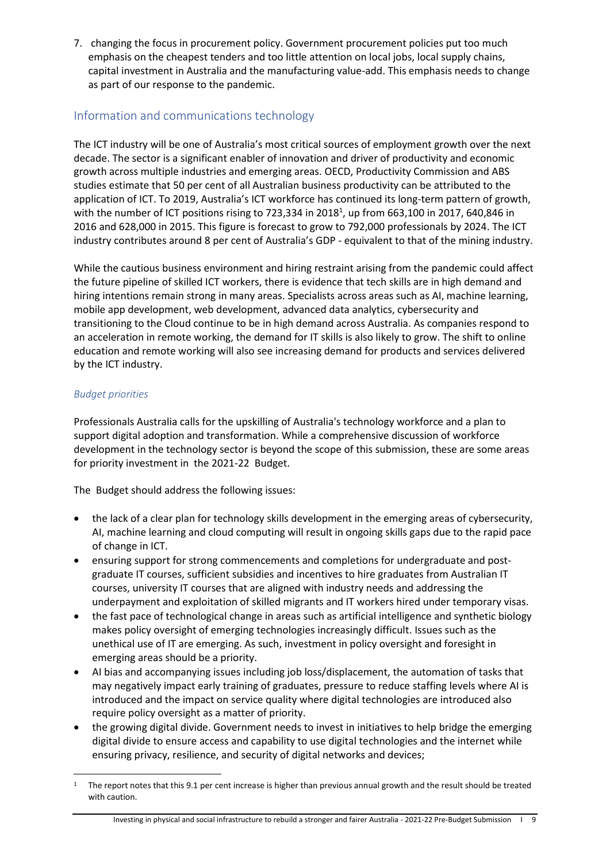7. changing the focus in procurement policy. Government procurement policies put too much emphasis on the cheapest tenders and too little attention on local jobs, local supply chains, capital investment in Australia and the manufacturing value-add. This emphasis needs to change as part of our response to the pandemic.

## <span id="page-8-0"></span>Information and communications technology

The ICT industry will be one of Australia's most critical sources of employment growth over the next decade. The sector is a significant enabler of innovation and driver of productivity and economic growth across multiple industries and emerging areas. OECD, Productivity Commission and ABS studies estimate that 50 per cent of all Australian business productivity can be attributed to the application of ICT. To 2019, Australia's ICT workforce has continued its long-term pattern of growth, with the number of ICT positions rising to 723,334 in 2018<sup>1</sup>, up from 663,100 in 2017, 640,846 in 2016 and 628,000 in 2015. This figure is forecast to grow to 792,000 professionals by 2024. The ICT industry contributes around 8 per cent of Australia's GDP - equivalent to that of the mining industry.

While the cautious business environment and hiring restraint arising from the pandemic could affect the future pipeline of skilled ICT workers, there is evidence that tech skills are in high demand and hiring intentions remain strong in many areas. Specialists across areas such as AI, machine learning, mobile app development, web development, advanced data analytics, cybersecurity and transitioning to the Cloud continue to be in high demand across Australia. As companies respond to an acceleration in remote working, the demand for IT skills is also likely to grow. The shift to online education and remote working will also see increasing demand for products and services delivered by the ICT industry.

## *Budget priorities*

Professionals Australia calls for the upskilling of Australia's technology workforce and a plan to support digital adoption and transformation. While a comprehensive discussion of workforce development in the technology sector is beyond the scope of this submission, these are some areas for priority investment in the 2021-22 Budget.

The Budget should address the following issues:

- the lack of a clear plan for technology skills development in the emerging areas of cybersecurity, AI, machine learning and cloud computing will result in ongoing skills gaps due to the rapid pace of change in ICT.
- ensuring support for strong commencements and completions for undergraduate and postgraduate IT courses, sufficient subsidies and incentives to hire graduates from Australian IT courses, university IT courses that are aligned with industry needs and addressing the underpayment and exploitation of skilled migrants and IT workers hired under temporary visas.
- the fast pace of technological change in areas such as artificial intelligence and synthetic biology makes policy oversight of emerging technologies increasingly difficult. Issues such as the unethical use of IT are emerging. As such, investment in policy oversight and foresight in emerging areas should be a priority.
- AI bias and accompanying issues including job loss/displacement, the automation of tasks that may negatively impact early training of graduates, pressure to reduce staffing levels where AI is introduced and the impact on service quality where digital technologies are introduced also require policy oversight as a matter of priority.
- the growing digital divide. Government needs to invest in initiatives to help bridge the emerging digital divide to ensure access and capability to use digital technologies and the internet while ensuring privacy, resilience, and security of digital networks and devices;

<sup>1</sup> The report notes that this 9.1 per cent increase is higher than previous annual growth and the result should be treated with caution.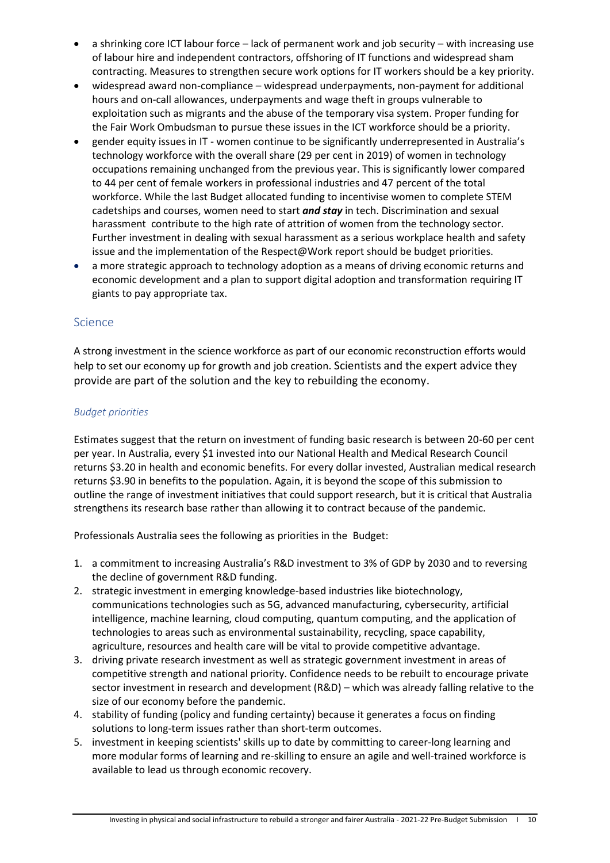- a shrinking core ICT labour force lack of permanent work and job security with increasing use of labour hire and independent contractors, offshoring of IT functions and widespread sham contracting. Measures to strengthen secure work options for IT workers should be a key priority.
- widespread award non-compliance widespread underpayments, non-payment for additional hours and on-call allowances, underpayments and wage theft in groups vulnerable to exploitation such as migrants and the abuse of the temporary visa system. Proper funding for the Fair Work Ombudsman to pursue these issues in the ICT workforce should be a priority.
- gender equity issues in IT women continue to be significantly underrepresented in Australia's technology workforce with the overall share (29 per cent in 2019) of women in technology occupations remaining unchanged from the previous year. This is significantly lower compared to 44 per cent of female workers in professional industries and 47 percent of the total workforce. While the last Budget allocated funding to incentivise women to complete STEM cadetships and courses, women need to start *and stay* in tech. Discrimination and sexual harassment contribute to the high rate of attrition of women from the technology sector. Further investment in dealing with sexual harassment as a serious workplace health and safety issue and the implementation of the Respect@Work report should be budget priorities.
- a more strategic approach to technology adoption as a means of driving economic returns and economic development and a plan to support digital adoption and transformation requiring IT giants to pay appropriate tax.

## <span id="page-9-0"></span>Science

A strong investment in the science workforce as part of our economic reconstruction efforts would help to set our economy up for growth and job creation. Scientists and the expert advice they provide are part of the solution and the key to rebuilding the economy.

## *Budget priorities*

Estimates suggest that the return on investment of funding basic research is between 20-60 per cent per year. In Australia, every \$1 invested into our National Health and Medical Research Council returns \$3.20 in health and economic benefits. For every dollar invested, Australian medical research returns \$3.90 in benefits to the population. Again, it is beyond the scope of this submission to outline the range of investment initiatives that could support research, but it is critical that Australia strengthens its research base rather than allowing it to contract because of the pandemic.

Professionals Australia sees the following as priorities in the Budget:

- 1. a commitment to increasing Australia's R&D investment to 3% of GDP by 2030 and to reversing the decline of government R&D funding.
- 2. strategic investment in emerging knowledge-based industries like biotechnology, communications technologies such as 5G, advanced manufacturing, cybersecurity, artificial intelligence, machine learning, cloud computing, quantum computing, and the application of technologies to areas such as environmental sustainability, recycling, space capability, agriculture, resources and health care will be vital to provide competitive advantage.
- 3. driving private research investment as well as strategic government investment in areas of competitive strength and national priority. Confidence needs to be rebuilt to encourage private sector investment in research and development (R&D) – which was already falling relative to the size of our economy before the pandemic.
- 4. stability of funding (policy and funding certainty) because it generates a focus on finding solutions to long-term issues rather than short-term outcomes.
- 5. investment in keeping scientists' skills up to date by committing to career-long learning and more modular forms of learning and re-skilling to ensure an agile and well-trained workforce is available to lead us through economic recovery.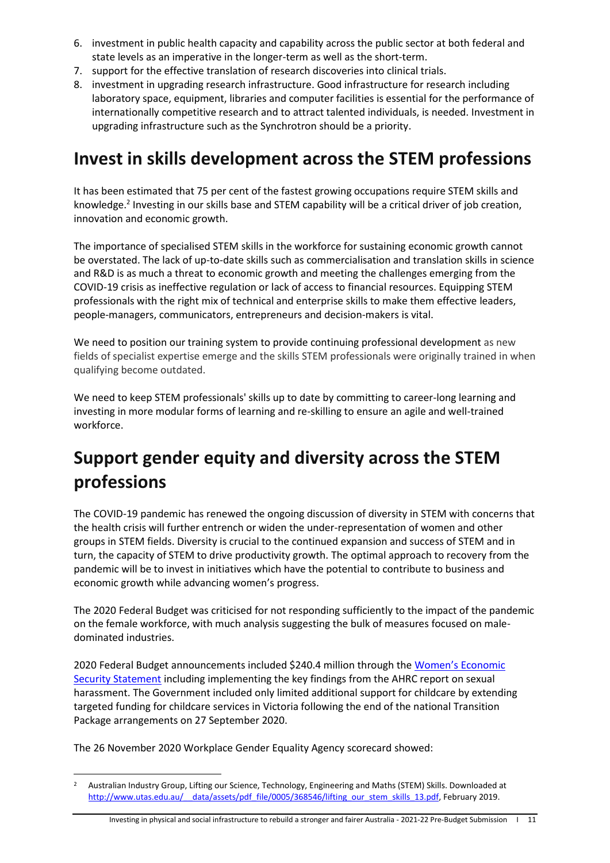- 6. investment in public health capacity and capability across the public sector at both federal and state levels as an imperative in the longer-term as well as the short-term.
- 7. support for the effective translation of research discoveries into clinical trials.
- 8. investment in upgrading research infrastructure. Good infrastructure for research including laboratory space, equipment, libraries and computer facilities is essential for the performance of internationally competitive research and to attract talented individuals, is needed. Investment in upgrading infrastructure such as the Synchrotron should be a priority.

## <span id="page-10-0"></span>**Invest in skills development across the STEM professions**

It has been estimated that 75 per cent of the fastest growing occupations require STEM skills and knowledge.<sup>2</sup> Investing in our skills base and STEM capability will be a critical driver of job creation, innovation and economic growth.

The importance of specialised STEM skills in the workforce for sustaining economic growth cannot be overstated. The lack of up-to-date skills such as commercialisation and translation skills in science and R&D is as much a threat to economic growth and meeting the challenges emerging from the COVID-19 crisis as ineffective regulation or lack of access to financial resources. Equipping STEM professionals with the right mix of technical and enterprise skills to make them effective leaders, people-managers, communicators, entrepreneurs and decision-makers is vital.

We need to position our training system to provide continuing professional development as new fields of specialist expertise emerge and the skills STEM professionals were originally trained in when qualifying become outdated.

We need to keep STEM professionals' skills up to date by committing to career-long learning and investing in more modular forms of learning and re-skilling to ensure an agile and well-trained workforce.

# <span id="page-10-1"></span>**Support gender equity and diversity across the STEM professions**

The COVID-19 pandemic has renewed the ongoing discussion of diversity in STEM with concerns that the health crisis will further entrench or widen the under-representation of women and other groups in STEM fields. Diversity is crucial to the continued expansion and success of STEM and in turn, the capacity of STEM to drive productivity growth. The optimal approach to recovery from the pandemic will be to invest in initiatives which have the potential to contribute to business and economic growth while advancing women's progress.

The 2020 Federal Budget was criticised for not responding sufficiently to the impact of the pandemic on the female workforce, with much analysis suggesting the bulk of measures focused on maledominated industries.

2020 Federal Budget announcements included \$240.4 million through the [Women's Economic](https://www.pmc.gov.au/sites/default/files/images/wess/wess-2020-report.pdf)  [Security Statement](https://www.pmc.gov.au/sites/default/files/images/wess/wess-2020-report.pdf) including implementing the key findings from the AHRC report on sexual harassment. The Government included only limited additional support for childcare by extending targeted funding for childcare services in Victoria following the end of the national Transition Package arrangements on 27 September 2020.

The 26 November 2020 Workplace Gender Equality Agency scorecard showed:

<sup>&</sup>lt;sup>2</sup> Australian Industry Group, Lifting our Science, Technology, Engineering and Maths (STEM) Skills. Downloaded at http://www.utas.edu.au/ data/assets/pdf file/0005/368546/lifting\_our\_stem\_skills\_13.pdf, February 2019.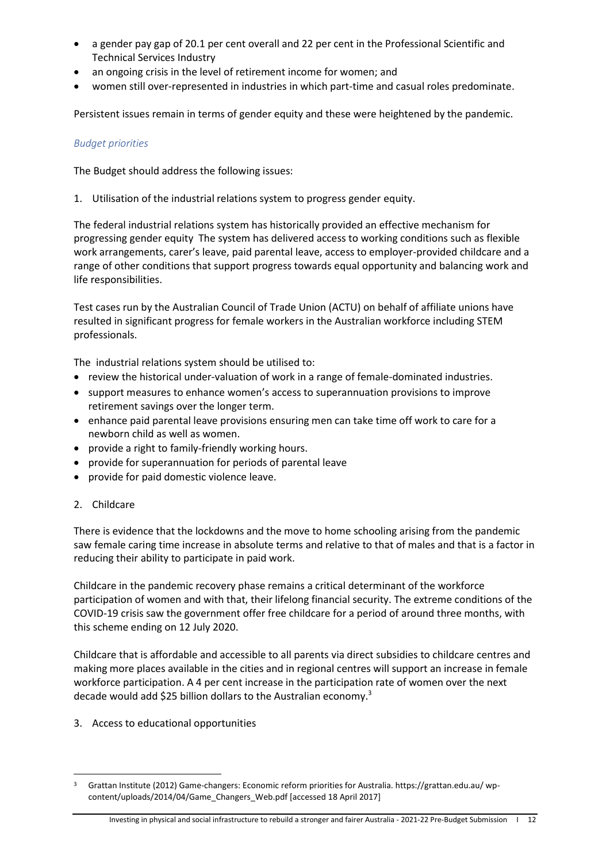- a gender pay gap of 20.1 per cent overall and 22 per cent in the Professional Scientific and Technical Services Industry
- an ongoing crisis in the level of retirement income for women; and
- women still over-represented in industries in which part-time and casual roles predominate.

Persistent issues remain in terms of gender equity and these were heightened by the pandemic.

## *Budget priorities*

The Budget should address the following issues:

1. Utilisation of the industrial relations system to progress gender equity.

The federal industrial relations system has historically provided an effective mechanism for progressing gender equity The system has delivered access to working conditions such as flexible work arrangements, carer's leave, paid parental leave, access to employer-provided childcare and a range of other conditions that support progress towards equal opportunity and balancing work and life responsibilities.

Test cases run by the Australian Council of Trade Union (ACTU) on behalf of affiliate unions have resulted in significant progress for female workers in the Australian workforce including STEM professionals.

The industrial relations system should be utilised to:

- review the historical under-valuation of work in a range of female-dominated industries.
- support measures to enhance women's access to superannuation provisions to improve retirement savings over the longer term.
- enhance paid parental leave provisions ensuring men can take time off work to care for a newborn child as well as women.
- provide a right to family-friendly working hours.
- provide for superannuation for periods of parental leave
- provide for paid domestic violence leave.
- 2. Childcare

There is evidence that the lockdowns and the move to home schooling arising from the pandemic saw female caring time increase in absolute terms and relative to that of males and that is a factor in reducing their ability to participate in paid work.

Childcare in the pandemic recovery phase remains a critical determinant of the workforce participation of women and with that, their lifelong financial security. The extreme conditions of the COVID-19 crisis saw the government offer free childcare for a period of around three months, with this scheme ending on 12 July 2020.

Childcare that is affordable and accessible to all parents via direct subsidies to childcare centres and making more places available in the cities and in regional centres will support an increase in female workforce participation. A 4 per cent increase in the participation rate of women over the next decade would add \$25 billion dollars to the Australian economy.<sup>3</sup>

3. Access to educational opportunities

<sup>3</sup> Grattan Institute (2012) Game-changers: Economic reform priorities for Australia. https://grattan.edu.au/ wpcontent/uploads/2014/04/Game\_Changers\_Web.pdf [accessed 18 April 2017]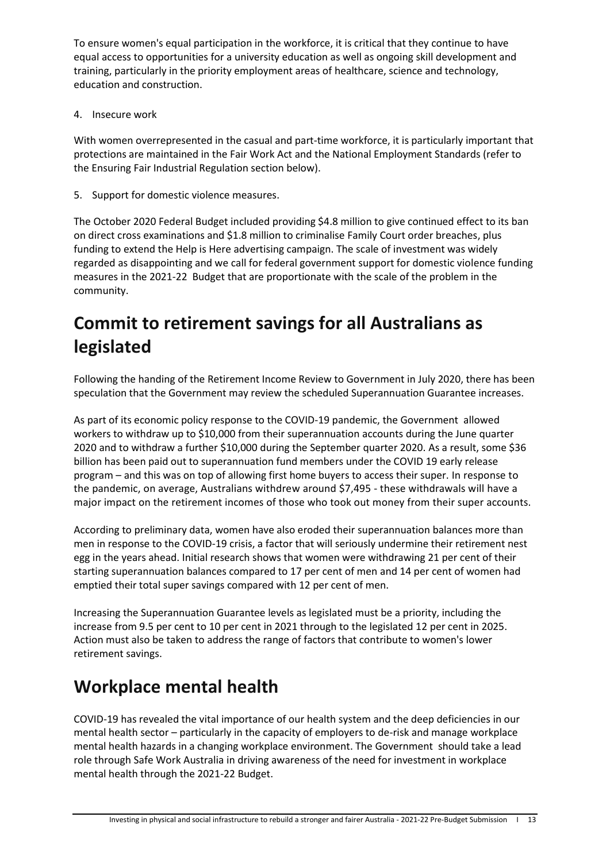To ensure women's equal participation in the workforce, it is critical that they continue to have equal access to opportunities for a university education as well as ongoing skill development and training, particularly in the priority employment areas of healthcare, science and technology, education and construction.

4. Insecure work

With women overrepresented in the casual and part-time workforce, it is particularly important that protections are maintained in the Fair Work Act and the National Employment Standards (refer to the Ensuring Fair Industrial Regulation section below).

5. Support for domestic violence measures.

The October 2020 Federal Budget included providing \$4.8 million to give continued effect to its ban on direct cross examinations and \$1.8 million to criminalise Family Court order breaches, plus funding to extend the Help is Here advertising campaign. The scale of investment was widely regarded as disappointing and we call for federal government support for domestic violence funding measures in the 2021-22 Budget that are proportionate with the scale of the problem in the community.

# <span id="page-12-0"></span>**Commit to retirement savings for all Australians as legislated**

Following the handing of the Retirement Income Review to Government in July 2020, there has been speculation that the Government may review the scheduled Superannuation Guarantee increases.

As part of its economic policy response to the COVID-19 pandemic, the Government allowed workers to withdraw up to \$10,000 from their superannuation accounts during the June quarter 2020 and to withdraw a further \$10,000 during the September quarter 2020. As a result, some \$36 billion has been paid out to superannuation fund members under the COVID 19 early release program – and this was on top of allowing first home buyers to access their super. In response to the pandemic, on average, Australians withdrew around \$7,495 - these withdrawals will have a major impact on the retirement incomes of those who took out money from their super accounts.

According to preliminary data, women have also eroded their superannuation balances more than men in response to the COVID-19 crisis, a factor that will seriously undermine their retirement nest egg in the years ahead. Initial research shows that women were withdrawing 21 per cent of their starting superannuation balances compared to 17 per cent of men and 14 per cent of women had emptied their total super savings compared with 12 per cent of men.

Increasing the Superannuation Guarantee levels as legislated must be a priority, including the increase from 9.5 per cent to 10 per cent in 2021 through to the legislated 12 per cent in 2025. Action must also be taken to address the range of factors that contribute to women's lower retirement savings.

# **Workplace mental health**

COVID-19 has revealed the vital importance of our health system and the deep deficiencies in our mental health sector – particularly in the capacity of employers to de-risk and manage workplace mental health hazards in a changing workplace environment. The Government should take a lead role through Safe Work Australia in driving awareness of the need for investment in workplace mental health through the 2021-22 Budget.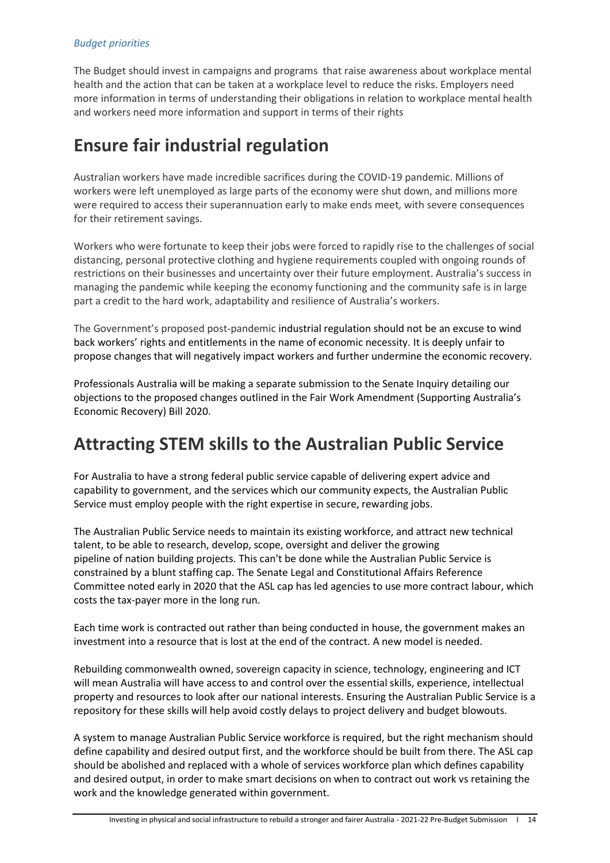## *Budget priorities*

The Budget should invest in campaigns and programs that raise awareness about workplace mental health and the action that can be taken at a workplace level to reduce the risks. Employers need more information in terms of understanding their obligations in relation to workplace mental health and workers need more information and support in terms of their rights

## **Ensure fair industrial regulation**

Australian workers have made incredible sacrifices during the COVID-19 pandemic. Millions of workers were left unemployed as large parts of the economy were shut down, and millions more were required to access their superannuation early to make ends meet, with severe consequences for their retirement savings.

Workers who were fortunate to keep their jobs were forced to rapidly rise to the challenges of social distancing, personal protective clothing and hygiene requirements coupled with ongoing rounds of restrictions on their businesses and uncertainty over their future employment. Australia's success in managing the pandemic while keeping the economy functioning and the community safe is in large part a credit to the hard work, adaptability and resilience of Australia's workers.

The Government's proposed post-pandemic industrial regulation should not be an excuse to wind back workers' rights and entitlements in the name of economic necessity. It is deeply unfair to propose changes that will negatively impact workers and further undermine the economic recovery.

Professionals Australia will be making a separate submission to the Senate Inquiry detailing our objections to the proposed changes outlined in the Fair Work Amendment (Supporting Australia's Economic Recovery) Bill 2020.

## **Attracting STEM skills to the Australian Public Service**

For Australia to have a strong federal public service capable of delivering expert advice and capability to government, and the services which our community expects, the Australian Public Service must employ people with the right expertise in secure, rewarding jobs.

The Australian Public Service needs to maintain its existing workforce, and attract new technical talent, to be able to research, develop, scope, oversight and deliver the growing pipeline of nation building projects. This can't be done while the Australian Public Service is constrained by a blunt staffing cap. The Senate Legal and Constitutional Affairs Reference Committee noted early in 2020 that the ASL cap has led agencies to use more contract labour, which costs the tax-payer more in the long run.

Each time work is contracted out rather than being conducted in house, the government makes an investment into a resource that is lost at the end of the contract. A new model is needed.

Rebuilding commonwealth owned, sovereign capacity in science, technology, engineering and ICT will mean Australia will have access to and control over the essential skills, experience, intellectual property and resources to look after our national interests. Ensuring the Australian Public Service is a repository for these skills will help avoid costly delays to project delivery and budget blowouts.

A system to manage Australian Public Service workforce is required, but the right mechanism should define capability and desired output first, and the workforce should be built from there. The ASL cap should be abolished and replaced with a whole of services workforce plan which defines capability and desired output, in order to make smart decisions on when to contract out work vs retaining the work and the knowledge generated within government.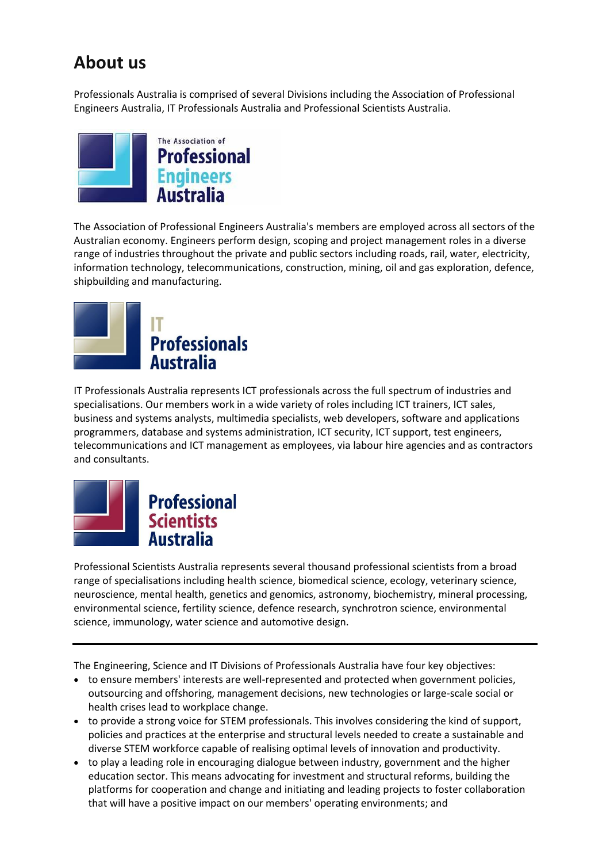# <span id="page-14-0"></span>**About us**

Professionals Australia is comprised of several Divisions including the Association of Professional Engineers Australia, IT Professionals Australia and Professional Scientists Australia.



The Association of Professional Engineers Australia's members are employed across all sectors of the Australian economy. Engineers perform design, scoping and project management roles in a diverse range of industries throughout the private and public sectors including roads, rail, water, electricity, information technology, telecommunications, construction, mining, oil and gas exploration, defence, shipbuilding and manufacturing.



IT Professionals Australia represents ICT professionals across the full spectrum of industries and specialisations. Our members work in a wide variety of roles including ICT trainers, ICT sales, business and systems analysts, multimedia specialists, web developers, software and applications programmers, database and systems administration, ICT security, ICT support, test engineers, telecommunications and ICT management as employees, via labour hire agencies and as contractors and consultants.



Professional Scientists Australia represents several thousand professional scientists from a broad range of specialisations including health science, biomedical science, ecology, veterinary science, neuroscience, mental health, genetics and genomics, astronomy, biochemistry, mineral processing, environmental science, fertility science, defence research, synchrotron science, environmental science, immunology, water science and automotive design.

The Engineering, Science and IT Divisions of Professionals Australia have four key objectives:

- to ensure members' interests are well-represented and protected when government policies, outsourcing and offshoring, management decisions, new technologies or large-scale social or health crises lead to workplace change.
- to provide a strong voice for STEM professionals. This involves considering the kind of support, policies and practices at the enterprise and structural levels needed to create a sustainable and diverse STEM workforce capable of realising optimal levels of innovation and productivity.
- to play a leading role in encouraging dialogue between industry, government and the higher education sector. This means advocating for investment and structural reforms, building the platforms for cooperation and change and initiating and leading projects to foster collaboration that will have a positive impact on our members' operating environments; and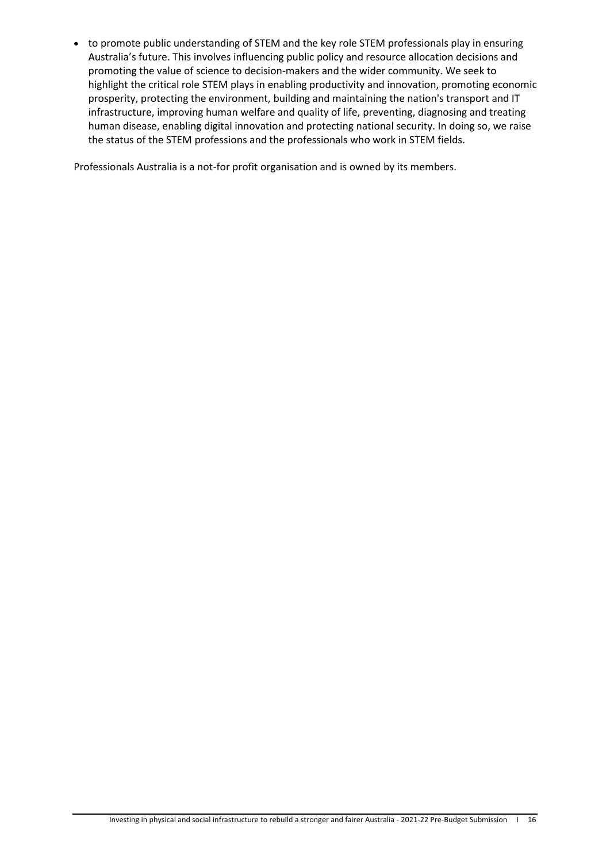• to promote public understanding of STEM and the key role STEM professionals play in ensuring Australia's future. This involves influencing public policy and resource allocation decisions and promoting the value of science to decision-makers and the wider community. We seek to highlight the critical role STEM plays in enabling productivity and innovation, promoting economic prosperity, protecting the environment, building and maintaining the nation's transport and IT infrastructure, improving human welfare and quality of life, preventing, diagnosing and treating human disease, enabling digital innovation and protecting national security. In doing so, we raise the status of the STEM professions and the professionals who work in STEM fields.

Professionals Australia is a not-for profit organisation and is owned by its members.